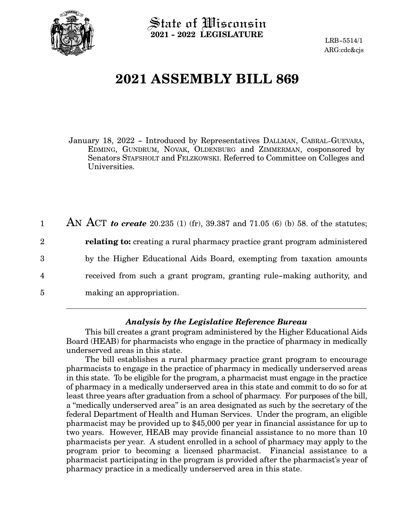

 $\operatorname{\mathsf{State}}$  of Wisconsin **2021 - 2022 LEGISLATURE**

LRB-5514/1 ARG:cdc&cjs

# **2021 ASSEMBLY BILL 869**

January 18, 2022 - Introduced by Representatives DALLMAN, CABRAL-GUEVARA, EDMING, GUNDRUM, NOVAK, OLDENBURG and ZIMMERMAN, cosponsored by Senators STAFSHOLT and FELZKOWSKI. Referred to Committee on Colleges and Universities.

AN ACT *to create* 20.235 (1) (fr), 39.387 and 71.05 (6) (b) 58. of the statutes; **relating to:** creating a rural pharmacy practice grant program administered by the Higher Educational Aids Board, exempting from taxation amounts received from such a grant program, granting rule-making authority, and making an appropriation. 1 2 3 4 5

# *Analysis by the Legislative Reference Bureau*

This bill creates a grant program administered by the Higher Educational Aids Board (HEAB) for pharmacists who engage in the practice of pharmacy in medically underserved areas in this state.

The bill establishes a rural pharmacy practice grant program to encourage pharmacists to engage in the practice of pharmacy in medically underserved areas in this state. To be eligible for the program, a pharmacist must engage in the practice of pharmacy in a medically underserved area in this state and commit to do so for at least three years after graduation from a school of pharmacy. For purposes of the bill, a "medically underserved area" is an area designated as such by the secretary of the federal Department of Health and Human Services. Under the program, an eligible pharmacist may be provided up to \$45,000 per year in financial assistance for up to two years. However, HEAB may provide financial assistance to no more than 10 pharmacists per year. A student enrolled in a school of pharmacy may apply to the program prior to becoming a licensed pharmacist. Financial assistance to a pharmacist participating in the program is provided after the pharmacist's year of pharmacy practice in a medically underserved area in this state.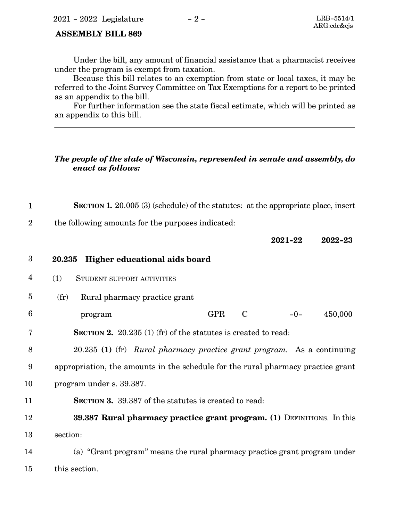### **ASSEMBLY BILL 869**

Under the bill, any amount of financial assistance that a pharmacist receives under the program is exempt from taxation.

Because this bill relates to an exemption from state or local taxes, it may be referred to the Joint Survey Committee on Tax Exemptions for a report to be printed as an appendix to the bill.

For further information see the state fiscal estimate, which will be printed as an appendix to this bill.

# *The people of the state of Wisconsin, represented in senate and assembly, do enact as follows:*

**SECTION 1.** 20.005 (3) (schedule) of the statutes: at the appropriate place, insert 1

the following amounts for the purposes indicated: 2

**2021-22 2022-23**

#### **20.235 Higher educational aids board** 3

- (1) STUDENT SUPPORT ACTIVITIES 4
- (fr) Rural pharmacy practice grant 5
- program GPR C -0- 450,000 6
- **SECTION 2.** 20.235 (1) (fr) of the statutes is created to read: 7

20.235 **(1)** (fr) *Rural pharmacy practice grant program.* As a continuing appropriation, the amounts in the schedule for the rural pharmacy practice grant program under s. 39.387. 8 9 10

**SECTION 3.** 39.387 of the statutes is created to read: 11

**39.387 Rural pharmacy practice grant program. (1)** DEFINITIONS. In this section: 12 13

(a) "Grant program" means the rural pharmacy practice grant program under this section. 14 15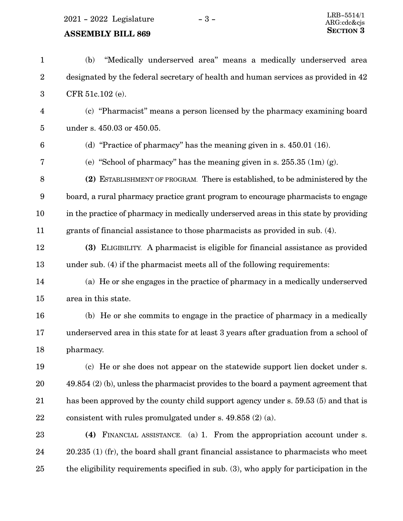2021 - 2022 Legislature - 3 -

# **ASSEMBLY BILL 869**

| $\mathbf{1}$            | "Medically underserved area" means a medically underserved area<br>(b)                 |
|-------------------------|----------------------------------------------------------------------------------------|
| $\overline{2}$          | designated by the federal secretary of health and human services as provided in 42     |
| $\boldsymbol{3}$        | CFR 51c.102 (e).                                                                       |
| $\overline{\mathbf{4}}$ | (c) "Pharmacist" means a person licensed by the pharmacy examining board               |
| $\overline{5}$          | under s. 450.03 or 450.05.                                                             |
| $6\phantom{1}6$         | (d) "Practice of pharmacy" has the meaning given in s. $450.01$ (16).                  |
| 7                       | (e) "School of pharmacy" has the meaning given in s. $255.35$ (1m) (g).                |
| 8                       | (2) ESTABLISHMENT OF PROGRAM. There is established, to be administered by the          |
| $9\,$                   | board, a rural pharmacy practice grant program to encourage pharmacists to engage      |
| 10                      | in the practice of pharmacy in medically underserved areas in this state by providing  |
| 11                      | grants of financial assistance to those pharmacists as provided in sub. (4).           |
| 12                      | (3) ELIGIBILITY. A pharmacist is eligible for financial assistance as provided         |
| 13                      | under sub. (4) if the pharmacist meets all of the following requirements:              |
| 14                      | (a) He or she engages in the practice of pharmacy in a medically underserved           |
| 15                      | area in this state.                                                                    |
| 16                      | (b) He or she commits to engage in the practice of pharmacy in a medically             |
| 17                      | underserved area in this state for at least 3 years after graduation from a school of  |
| 18                      | pharmacy.                                                                              |
| 19                      | (c) He or she does not appear on the statewide support lien docket under s.            |
| 20                      | $49.854$ (2) (b), unless the pharmacist provides to the board a payment agreement that |
| 21                      | has been approved by the county child support agency under s. 59.53 (5) and that is    |
| $\bf{22}$               | consistent with rules promulgated under s. $49.858(2)(a)$ .                            |
| 23                      | (4) FINANCIAL ASSISTANCE. (a) 1. From the appropriation account under s.               |
| 24                      | 20.235 (1) (fr), the board shall grant financial assistance to pharmacists who meet    |
| 25                      | the eligibility requirements specified in sub. (3), who apply for participation in the |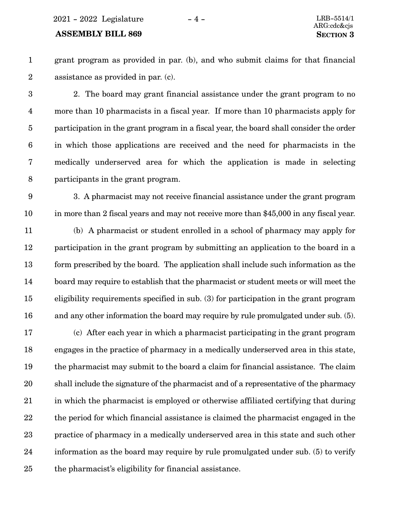2021 - 2022 Legislature - 4 - LRB-5514/1

### **ASSEMBLY BILL 869 SECTION** 3

1 2 grant program as provided in par. (b), and who submit claims for that financial assistance as provided in par. (c).

2. The board may grant financial assistance under the grant program to no more than 10 pharmacists in a fiscal year. If more than 10 pharmacists apply for participation in the grant program in a fiscal year, the board shall consider the order in which those applications are received and the need for pharmacists in the medically underserved area for which the application is made in selecting participants in the grant program. 3 4 5 6 7 8

3. A pharmacist may not receive financial assistance under the grant program in more than 2 fiscal years and may not receive more than \$45,000 in any fiscal year. 9 10

(b) A pharmacist or student enrolled in a school of pharmacy may apply for participation in the grant program by submitting an application to the board in a form prescribed by the board. The application shall include such information as the board may require to establish that the pharmacist or student meets or will meet the eligibility requirements specified in sub. (3) for participation in the grant program and any other information the board may require by rule promulgated under sub. (5). 11 12 13 14 15 16

(c) After each year in which a pharmacist participating in the grant program engages in the practice of pharmacy in a medically underserved area in this state, the pharmacist may submit to the board a claim for financial assistance. The claim shall include the signature of the pharmacist and of a representative of the pharmacy in which the pharmacist is employed or otherwise affiliated certifying that during the period for which financial assistance is claimed the pharmacist engaged in the practice of pharmacy in a medically underserved area in this state and such other information as the board may require by rule promulgated under sub. (5) to verify the pharmacist's eligibility for financial assistance. 17 18 19 20 21 22 23 24 25